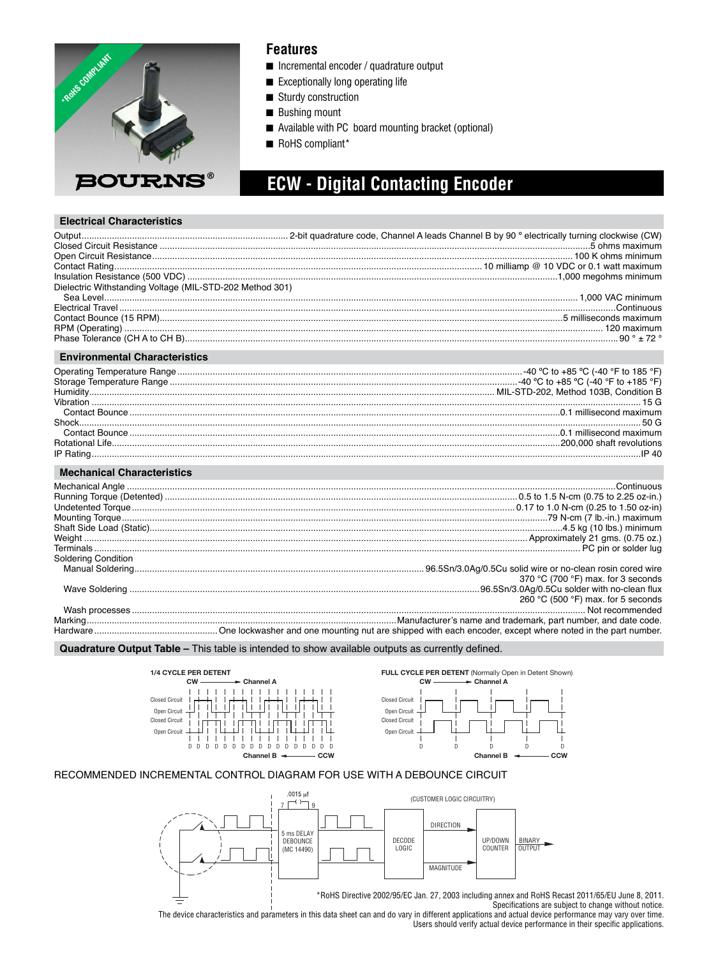

### **Features**

- Incremental encoder / quadrature output
- Exceptionally long operating life
- Sturdy construction
- Bushing mount
- Available with PC board mounting bracket (optional)
- RoHS compliant\*

# **ECW - Digital Contacting Encoder**

#### **Electrical Characteristics**

| Dielectric Withstanding Voltage (MIL-STD-202 Method 301) |                     |
|----------------------------------------------------------|---------------------|
|                                                          |                     |
|                                                          |                     |
|                                                          |                     |
|                                                          |                     |
| <b>Environmental Characteristics</b>                     |                     |
|                                                          |                     |
|                                                          |                     |
|                                                          |                     |
|                                                          |                     |
|                                                          |                     |
|                                                          |                     |
|                                                          |                     |
|                                                          |                     |
|                                                          |                     |
| <b>Mechanical Characteristics</b>                        |                     |
|                                                          |                     |
|                                                          |                     |
|                                                          |                     |
|                                                          |                     |
|                                                          |                     |
|                                                          |                     |
|                                                          |                     |
|                                                          | Coldering Condition |

| Soldering Condition |                                    |
|---------------------|------------------------------------|
|                     |                                    |
|                     | 370 °C (700 °F) max. for 3 seconds |
|                     |                                    |
|                     | 260 °C (500 °F) max. for 5 seconds |
|                     |                                    |
|                     |                                    |
|                     |                                    |
|                     |                                    |

**Quadrature Output Table –** This table is intended to show available outputs as currently defined.







#### RECOMMENDED INCREMENTAL CONTROL DIAGRAM FOR USE WITH A DEBOUNCE CIRCUIT



Specifications are subject to change without notice. The device characteristics and parameters in this data sheet can and do vary in different applications and actual device performance may vary over time. Users should verify actual device performance in their specific applications.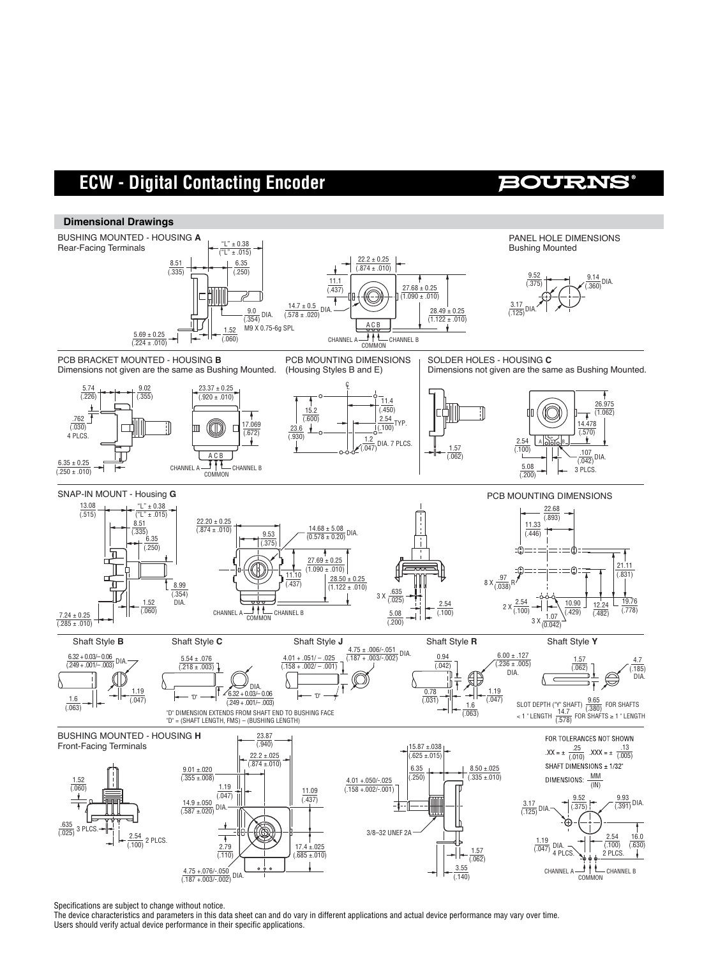## **ECW - Digital Contacting Encoder**

### **BOURNS**



Specifications are subject to change without notice.

The device characteristics and parameters in this data sheet can and do vary in different applications and actual device performance may vary over time. Users should verify actual device performance in their specific applications.